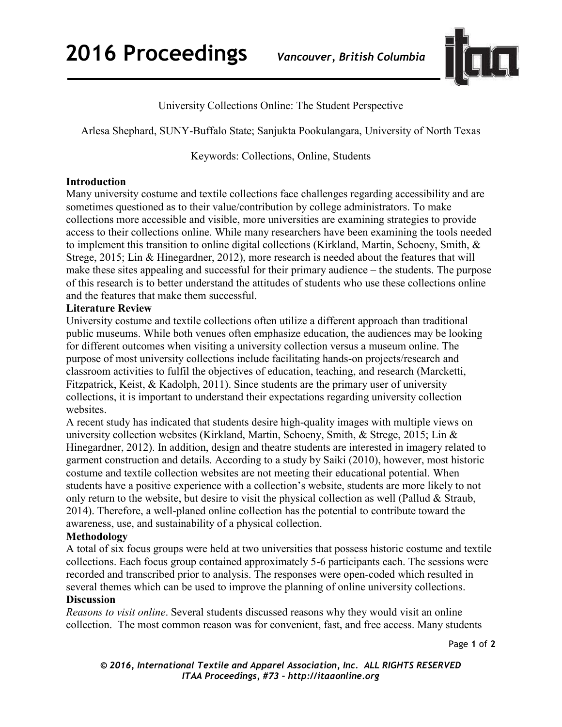**2016 Proceedings** *Vancouver, British Columbia*



University Collections Online: The Student Perspective

Arlesa Shephard, SUNY-Buffalo State; Sanjukta Pookulangara, University of North Texas

Keywords: Collections, Online, Students

### **Introduction**

Many university costume and textile collections face challenges regarding accessibility and are sometimes questioned as to their value/contribution by college administrators. To make collections more accessible and visible, more universities are examining strategies to provide access to their collections online. While many researchers have been examining the tools needed to implement this transition to online digital collections (Kirkland, Martin, Schoeny, Smith, & Strege, 2015; Lin & Hinegardner, 2012), more research is needed about the features that will make these sites appealing and successful for their primary audience – the students. The purpose of this research is to better understand the attitudes of students who use these collections online and the features that make them successful.

### **Literature Review**

University costume and textile collections often utilize a different approach than traditional public museums. While both venues often emphasize education, the audiences may be looking for different outcomes when visiting a university collection versus a museum online. The purpose of most university collections include facilitating hands-on projects/research and classroom activities to fulfil the objectives of education, teaching, and research (Marcketti, Fitzpatrick, Keist, & Kadolph, 2011). Since students are the primary user of university collections, it is important to understand their expectations regarding university collection websites.

A recent study has indicated that students desire high-quality images with multiple views on university collection websites (Kirkland, Martin, Schoeny, Smith, & Strege, 2015; Lin & Hinegardner, 2012). In addition, design and theatre students are interested in imagery related to garment construction and details. According to a study by Saiki (2010), however, most historic costume and textile collection websites are not meeting their educational potential. When students have a positive experience with a collection's website, students are more likely to not only return to the website, but desire to visit the physical collection as well (Pallud  $\&$  Straub, 2014). Therefore, a well-planed online collection has the potential to contribute toward the awareness, use, and sustainability of a physical collection.

# **Methodology**

A total of six focus groups were held at two universities that possess historic costume and textile collections. Each focus group contained approximately 5-6 participants each. The sessions were recorded and transcribed prior to analysis. The responses were open-coded which resulted in several themes which can be used to improve the planning of online university collections.

#### **Discussion**

*Reasons to visit online*. Several students discussed reasons why they would visit an online collection. The most common reason was for convenient, fast, and free access. Many students